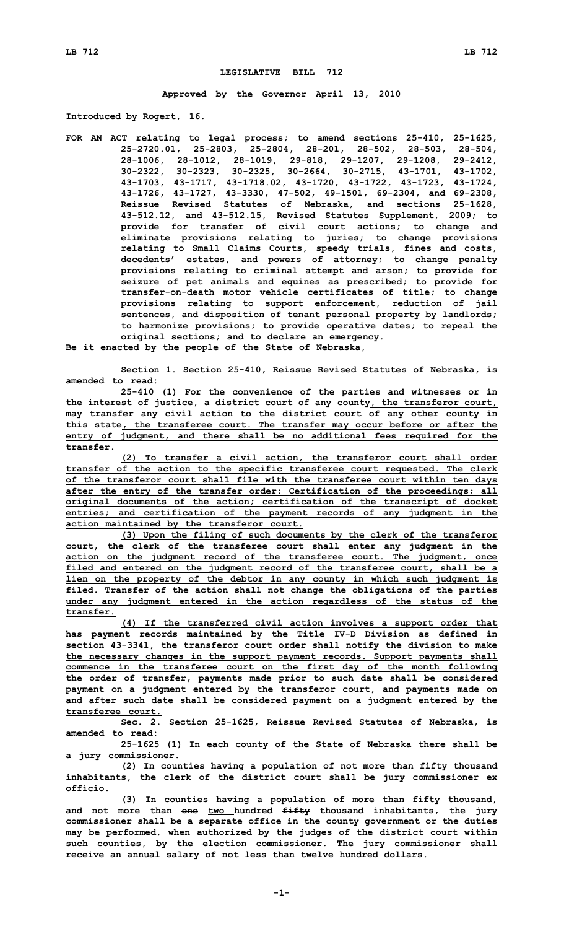## **LEGISLATIVE BILL 712**

**Approved by the Governor April 13, 2010**

**Introduced by Rogert, 16.**

**FOR AN ACT relating to legal process; to amend sections 25-410, 25-1625, 25-2720.01, 25-2803, 25-2804, 28-201, 28-502, 28-503, 28-504, 28-1006, 28-1012, 28-1019, 29-818, 29-1207, 29-1208, 29-2412, 30-2322, 30-2323, 30-2325, 30-2664, 30-2715, 43-1701, 43-1702, 43-1703, 43-1717, 43-1718.02, 43-1720, 43-1722, 43-1723, 43-1724, 43-1726, 43-1727, 43-3330, 47-502, 49-1501, 69-2304, and 69-2308, Reissue Revised Statutes of Nebraska, and sections 25-1628, 43-512.12, and 43-512.15, Revised Statutes Supplement, 2009; to provide for transfer of civil court actions; to change and eliminate provisions relating to juries; to change provisions relating to Small Claims Courts, speedy trials, fines and costs, decedents' estates, and powers of attorney; to change penalty provisions relating to criminal attempt and arson; to provide for seizure of pet animals and equines as prescribed; to provide for transfer-on-death motor vehicle certificates of title; to change provisions relating to support enforcement, reduction of jail sentences, and disposition of tenant personal property by landlords; to harmonize provisions; to provide operative dates; to repeal the original sections; and to declare an emergency.**

**Be it enacted by the people of the State of Nebraska,**

**Section 1. Section 25-410, Reissue Revised Statutes of Nebraska, is amended to read:**

**25-410 (1) For the convenience of the parties and witnesses or in the interest of justice, <sup>a</sup> district court of any county, the transferor court, may transfer any civil action to the district court of any other county in this state, the transferee court. The transfer may occur before or after the entry of judgment, and there shall be no additional fees required for the transfer.**

**(2) To transfer <sup>a</sup> civil action, the transferor court shall order transfer of the action to the specific transferee court requested. The clerk of the transferor court shall file with the transferee court within ten days after the entry of the transfer order: Certification of the proceedings; all original documents of the action; certification of the transcript of docket entries; and certification of the payment records of any judgment in the action maintained by the transferor court.**

**(3) Upon the filing of such documents by the clerk of the transferor court, the clerk of the transferee court shall enter any judgment in the action on the judgment record of the transferee court. The judgment, once filed and entered on the judgment record of the transferee court, shall be <sup>a</sup> lien on the property of the debtor in any county in which such judgment is filed. Transfer of the action shall not change the obligations of the parties under any judgment entered in the action regardless of the status of the transfer.**

**(4) If the transferred civil action involves <sup>a</sup> support order that has payment records maintained by the Title IV-D Division as defined in section 43-3341, the transferor court order shall notify the division to make the necessary changes in the support payment records. Support payments shall commence in the transferee court on the first day of the month following the order of transfer, payments made prior to such date shall be considered payment on <sup>a</sup> judgment entered by the transferor court, and payments made on and after such date shall be considered payment on <sup>a</sup> judgment entered by the transferee court.**

**Sec. 2. Section 25-1625, Reissue Revised Statutes of Nebraska, is amended to read:**

**25-1625 (1) In each county of the State of Nebraska there shall be <sup>a</sup> jury commissioner.**

**(2) In counties having <sup>a</sup> population of not more than fifty thousand inhabitants, the clerk of the district court shall be jury commissioner ex officio.**

**(3) In counties having <sup>a</sup> population of more than fifty thousand, and not more than one two hundred fifty thousand inhabitants, the jury commissioner shall be <sup>a</sup> separate office in the county government or the duties may be performed, when authorized by the judges of the district court within such counties, by the election commissioner. The jury commissioner shall receive an annual salary of not less than twelve hundred dollars.**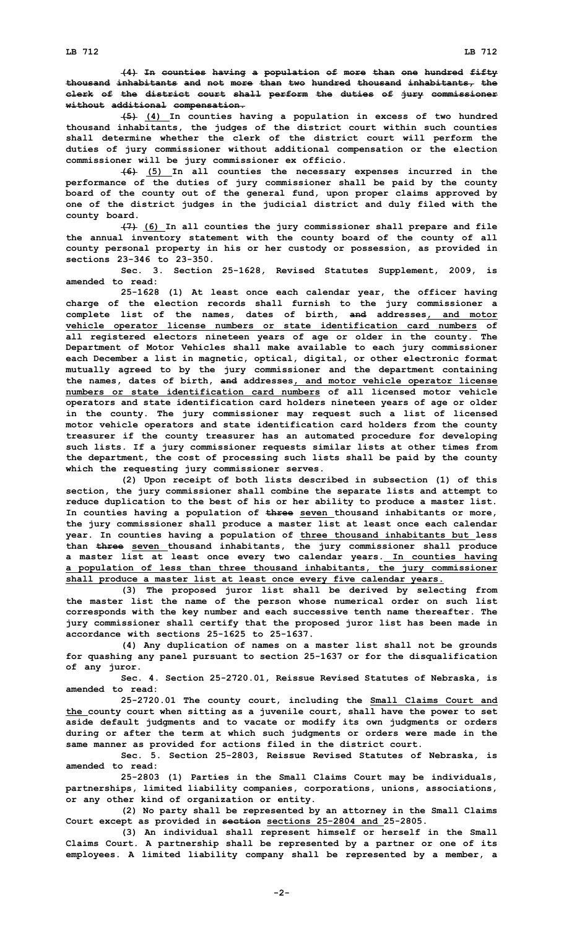**(4) In counties having <sup>a</sup> population of more than one hundred fifty thousand inhabitants and not more than two hundred thousand inhabitants, the clerk of the district court shall perform the duties of jury commissioner without additional compensation.**

**(5) (4) In counties having <sup>a</sup> population in excess of two hundred thousand inhabitants, the judges of the district court within such counties shall determine whether the clerk of the district court will perform the duties of jury commissioner without additional compensation or the election commissioner will be jury commissioner ex officio.**

**(6) (5) In all counties the necessary expenses incurred in the performance of the duties of jury commissioner shall be paid by the county board of the county out of the general fund, upon proper claims approved by one of the district judges in the judicial district and duly filed with the county board.**

**(7) (6) In all counties the jury commissioner shall prepare and file the annual inventory statement with the county board of the county of all county personal property in his or her custody or possession, as provided in sections 23-346 to 23-350.**

**Sec. 3. Section 25-1628, Revised Statutes Supplement, 2009, is amended to read:**

**25-1628 (1) At least once each calendar year, the officer having charge of the election records shall furnish to the jury commissioner <sup>a</sup> complete list of the names, dates of birth, and addresses, and motor vehicle operator license numbers or state identification card numbers of all registered electors nineteen years of age or older in the county. The Department of Motor Vehicles shall make available to each jury commissioner each December <sup>a</sup> list in magnetic, optical, digital, or other electronic format mutually agreed to by the jury commissioner and the department containing the names, dates of birth, and addresses, and motor vehicle operator license numbers or state identification card numbers of all licensed motor vehicle operators and state identification card holders nineteen years of age or older in the county. The jury commissioner may request such <sup>a</sup> list of licensed motor vehicle operators and state identification card holders from the county treasurer if the county treasurer has an automated procedure for developing such lists. If <sup>a</sup> jury commissioner requests similar lists at other times from the department, the cost of processing such lists shall be paid by the county which the requesting jury commissioner serves.**

**(2) Upon receipt of both lists described in subsection (1) of this section, the jury commissioner shall combine the separate lists and attempt to reduce duplication to the best of his or her ability to produce <sup>a</sup> master list. In counties having <sup>a</sup> population of three seven thousand inhabitants or more, the jury commissioner shall produce <sup>a</sup> master list at least once each calendar year. In counties having <sup>a</sup> population of three thousand inhabitants but less than three seven thousand inhabitants, the jury commissioner shall produce <sup>a</sup> master list at least once every two calendar years. In counties having <sup>a</sup> population of less than three thousand inhabitants, the jury commissioner shall produce <sup>a</sup> master list at least once every five calendar years.**

**(3) The proposed juror list shall be derived by selecting from the master list the name of the person whose numerical order on such list corresponds with the key number and each successive tenth name thereafter. The jury commissioner shall certify that the proposed juror list has been made in accordance with sections 25-1625 to 25-1637.**

**(4) Any duplication of names on <sup>a</sup> master list shall not be grounds for quashing any panel pursuant to section 25-1637 or for the disqualification of any juror.**

**Sec. 4. Section 25-2720.01, Reissue Revised Statutes of Nebraska, is amended to read:**

**25-2720.01 The county court, including the Small Claims Court and the county court when sitting as <sup>a</sup> juvenile court, shall have the power to set aside default judgments and to vacate or modify its own judgments or orders during or after the term at which such judgments or orders were made in the same manner as provided for actions filed in the district court.**

**Sec. 5. Section 25-2803, Reissue Revised Statutes of Nebraska, is amended to read:**

**25-2803 (1) Parties in the Small Claims Court may be individuals, partnerships, limited liability companies, corporations, unions, associations, or any other kind of organization or entity.**

**(2) No party shall be represented by an attorney in the Small Claims Court except as provided in section sections 25-2804 and 25-2805.**

**(3) An individual shall represent himself or herself in the Small Claims Court. A partnership shall be represented by <sup>a</sup> partner or one of its employees. A limited liability company shall be represented by <sup>a</sup> member, <sup>a</sup>**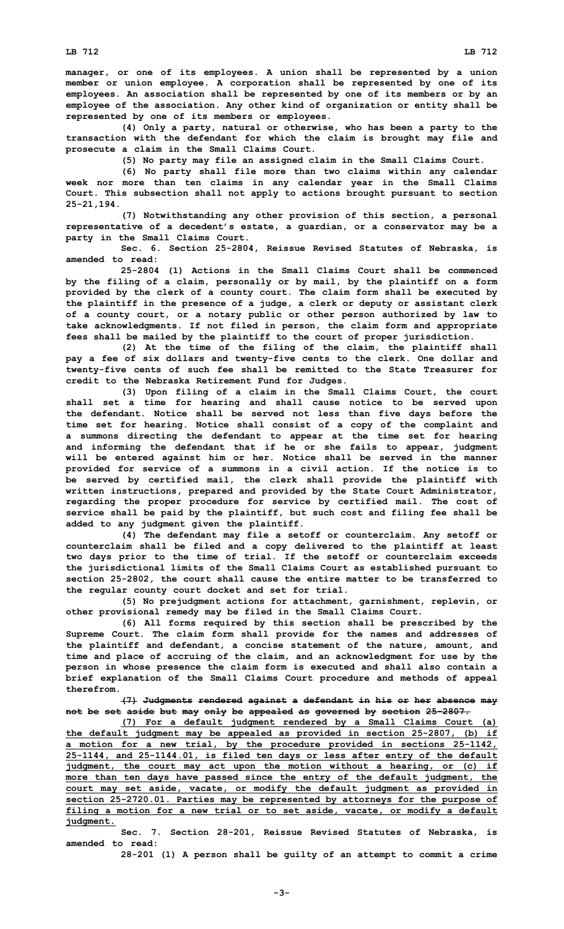**manager, or one of its employees. A union shall be represented by <sup>a</sup> union member or union employee. A corporation shall be represented by one of its employees. An association shall be represented by one of its members or by an employee of the association. Any other kind of organization or entity shall be represented by one of its members or employees.**

**(4) Only <sup>a</sup> party, natural or otherwise, who has been <sup>a</sup> party to the transaction with the defendant for which the claim is brought may file and prosecute <sup>a</sup> claim in the Small Claims Court.**

**(5) No party may file an assigned claim in the Small Claims Court.**

**(6) No party shall file more than two claims within any calendar week nor more than ten claims in any calendar year in the Small Claims Court. This subsection shall not apply to actions brought pursuant to section 25-21,194.**

**(7) Notwithstanding any other provision of this section, <sup>a</sup> personal representative of <sup>a</sup> decedent's estate, <sup>a</sup> guardian, or <sup>a</sup> conservator may be <sup>a</sup> party in the Small Claims Court.**

**Sec. 6. Section 25-2804, Reissue Revised Statutes of Nebraska, is amended to read:**

**25-2804 (1) Actions in the Small Claims Court shall be commenced by the filing of <sup>a</sup> claim, personally or by mail, by the plaintiff on <sup>a</sup> form provided by the clerk of <sup>a</sup> county court. The claim form shall be executed by the plaintiff in the presence of <sup>a</sup> judge, <sup>a</sup> clerk or deputy or assistant clerk of <sup>a</sup> county court, or <sup>a</sup> notary public or other person authorized by law to take acknowledgments. If not filed in person, the claim form and appropriate fees shall be mailed by the plaintiff to the court of proper jurisdiction.**

**(2) At the time of the filing of the claim, the plaintiff shall pay <sup>a</sup> fee of six dollars and twenty-five cents to the clerk. One dollar and twenty-five cents of such fee shall be remitted to the State Treasurer for credit to the Nebraska Retirement Fund for Judges.**

**(3) Upon filing of <sup>a</sup> claim in the Small Claims Court, the court shall set <sup>a</sup> time for hearing and shall cause notice to be served upon the defendant. Notice shall be served not less than five days before the time set for hearing. Notice shall consist of <sup>a</sup> copy of the complaint and <sup>a</sup> summons directing the defendant to appear at the time set for hearing and informing the defendant that if he or she fails to appear, judgment will be entered against him or her. Notice shall be served in the manner provided for service of <sup>a</sup> summons in <sup>a</sup> civil action. If the notice is to be served by certified mail, the clerk shall provide the plaintiff with written instructions, prepared and provided by the State Court Administrator, regarding the proper procedure for service by certified mail. The cost of service shall be paid by the plaintiff, but such cost and filing fee shall be added to any judgment given the plaintiff.**

**(4) The defendant may file <sup>a</sup> setoff or counterclaim. Any setoff or counterclaim shall be filed and <sup>a</sup> copy delivered to the plaintiff at least two days prior to the time of trial. If the setoff or counterclaim exceeds the jurisdictional limits of the Small Claims Court as established pursuant to section 25-2802, the court shall cause the entire matter to be transferred to the regular county court docket and set for trial.**

**(5) No prejudgment actions for attachment, garnishment, replevin, or other provisional remedy may be filed in the Small Claims Court.**

**(6) All forms required by this section shall be prescribed by the Supreme Court. The claim form shall provide for the names and addresses of the plaintiff and defendant, <sup>a</sup> concise statement of the nature, amount, and time and place of accruing of the claim, and an acknowledgment for use by the person in whose presence the claim form is executed and shall also contain <sup>a</sup> brief explanation of the Small Claims Court procedure and methods of appeal therefrom.**

**(7) Judgments rendered against <sup>a</sup> defendant in his or her absence may not be set aside but may only be appealed as governed by section 25-2807.**

**(7) For <sup>a</sup> default judgment rendered by <sup>a</sup> Small Claims Court (a) the default judgment may be appealed as provided in section 25-2807, (b) if <sup>a</sup> motion for <sup>a</sup> new trial, by the procedure provided in sections 25-1142, 25-1144, and 25-1144.01, is filed ten days or less after entry of the default judgment, the court may act upon the motion without <sup>a</sup> hearing, or (c) if more than ten days have passed since the entry of the default judgment, the court may set aside, vacate, or modify the default judgment as provided in section 25-2720.01. Parties may be represented by attorneys for the purpose of filing <sup>a</sup> motion for <sup>a</sup> new trial or to set aside, vacate, or modify <sup>a</sup> default judgment.**

**Sec. 7. Section 28-201, Reissue Revised Statutes of Nebraska, is amended to read:**

**28-201 (1) <sup>A</sup> person shall be guilty of an attempt to commit <sup>a</sup> crime**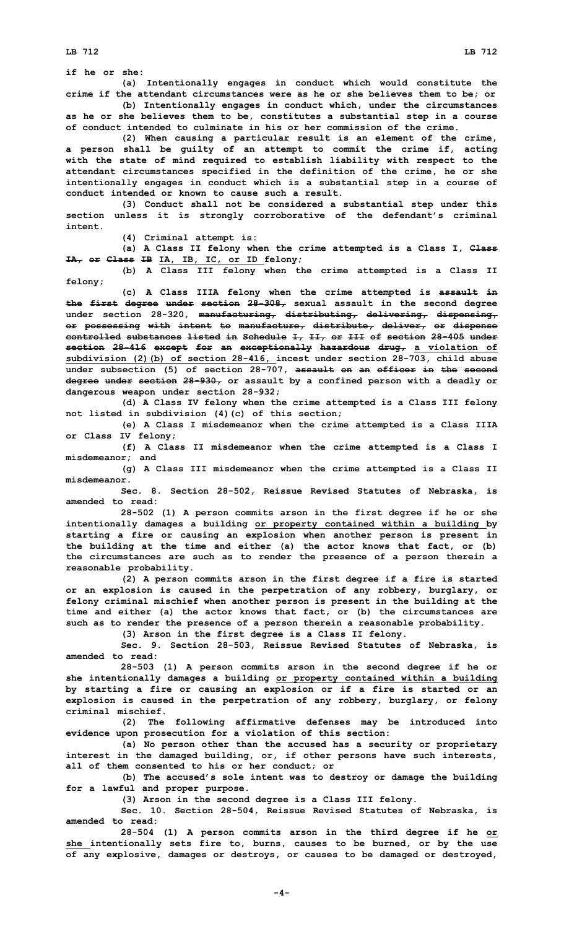**if he or she:**

**(a) Intentionally engages in conduct which would constitute the crime if the attendant circumstances were as he or she believes them to be; or**

**(b) Intentionally engages in conduct which, under the circumstances as he or she believes them to be, constitutes <sup>a</sup> substantial step in <sup>a</sup> course of conduct intended to culminate in his or her commission of the crime.**

**(2) When causing <sup>a</sup> particular result is an element of the crime, <sup>a</sup> person shall be guilty of an attempt to commit the crime if, acting with the state of mind required to establish liability with respect to the attendant circumstances specified in the definition of the crime, he or she intentionally engages in conduct which is <sup>a</sup> substantial step in <sup>a</sup> course of conduct intended or known to cause such a result.**

**(3) Conduct shall not be considered <sup>a</sup> substantial step under this section unless it is strongly corroborative of the defendant's criminal intent.**

**(4) Criminal attempt is:**

**(a) <sup>A</sup> Class II felony when the crime attempted is <sup>a</sup> Class I, Class IA, or Class IB IA, IB, IC, or ID felony;**

**(b) <sup>A</sup> Class III felony when the crime attempted is <sup>a</sup> Class II felony;**

**(c) <sup>A</sup> Class IIIA felony when the crime attempted is assault in the first degree under section 28-308, sexual assault in the second degree under section 28-320, manufacturing, distributing, delivering, dispensing, or possessing with intent to manufacture, distribute, deliver, or dispense controlled substances listed in Schedule I, II, or III of section 28-405 under section 28-416 except for an exceptionally hazardous drug, <sup>a</sup> violation of subdivision (2)(b) of section 28-416, incest under section 28-703, child abuse under subsection (5) of section 28-707, assault on an officer in the second degree under section 28-930, or assault by <sup>a</sup> confined person with <sup>a</sup> deadly or dangerous weapon under section 28-932;**

**(d) <sup>A</sup> Class IV felony when the crime attempted is <sup>a</sup> Class III felony not listed in subdivision (4)(c) of this section;**

**(e) <sup>A</sup> Class <sup>I</sup> misdemeanor when the crime attempted is <sup>a</sup> Class IIIA or Class IV felony;**

**(f) <sup>A</sup> Class II misdemeanor when the crime attempted is <sup>a</sup> Class <sup>I</sup> misdemeanor; and**

**(g) <sup>A</sup> Class III misdemeanor when the crime attempted is <sup>a</sup> Class II misdemeanor.**

**Sec. 8. Section 28-502, Reissue Revised Statutes of Nebraska, is amended to read:**

**28-502 (1) <sup>A</sup> person commits arson in the first degree if he or she intentionally damages <sup>a</sup> building or property contained within <sup>a</sup> building by starting <sup>a</sup> fire or causing an explosion when another person is present in the building at the time and either (a) the actor knows that fact, or (b) the circumstances are such as to render the presence of <sup>a</sup> person therein <sup>a</sup> reasonable probability.**

**(2) <sup>A</sup> person commits arson in the first degree if <sup>a</sup> fire is started or an explosion is caused in the perpetration of any robbery, burglary, or felony criminal mischief when another person is present in the building at the time and either (a) the actor knows that fact, or (b) the circumstances are such as to render the presence of <sup>a</sup> person therein <sup>a</sup> reasonable probability.**

**(3) Arson in the first degree is <sup>a</sup> Class II felony.**

**Sec. 9. Section 28-503, Reissue Revised Statutes of Nebraska, is amended to read:**

**28-503 (1) <sup>A</sup> person commits arson in the second degree if he or she intentionally damages <sup>a</sup> building or property contained within <sup>a</sup> building by starting <sup>a</sup> fire or causing an explosion or if <sup>a</sup> fire is started or an explosion is caused in the perpetration of any robbery, burglary, or felony criminal mischief.**

**(2) The following affirmative defenses may be introduced into evidence upon prosecution for <sup>a</sup> violation of this section:**

**(a) No person other than the accused has <sup>a</sup> security or proprietary interest in the damaged building, or, if other persons have such interests, all of them consented to his or her conduct; or**

**(b) The accused's sole intent was to destroy or damage the building for <sup>a</sup> lawful and proper purpose.**

**(3) Arson in the second degree is <sup>a</sup> Class III felony.**

**Sec. 10. Section 28-504, Reissue Revised Statutes of Nebraska, is amended to read:**

**28-504 (1) <sup>A</sup> person commits arson in the third degree if he or she intentionally sets fire to, burns, causes to be burned, or by the use of any explosive, damages or destroys, or causes to be damaged or destroyed,**

**-4-**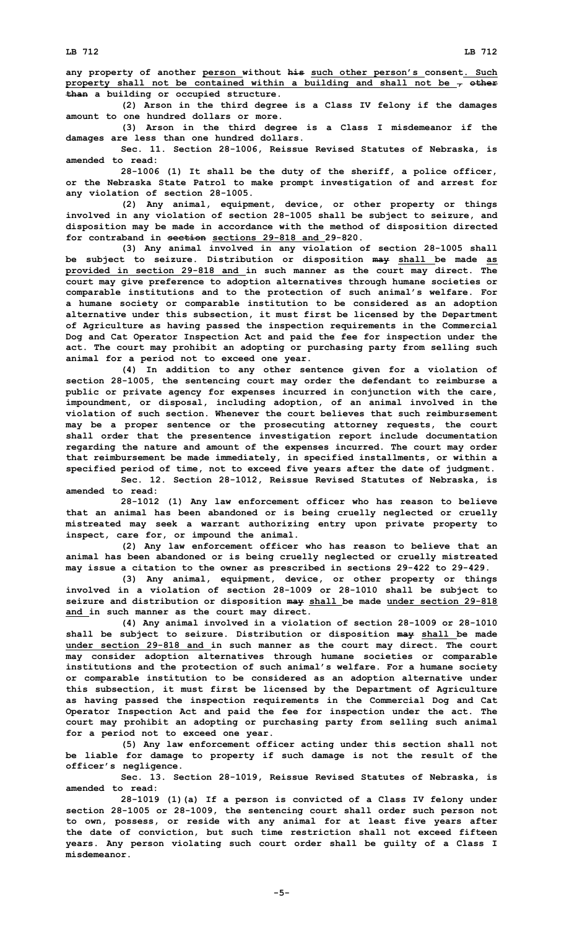**any property of another person without his such other person's consent. Such property shall not be contained within <sup>a</sup> building and shall not be , other than <sup>a</sup> building or occupied structure.**

**(2) Arson in the third degree is <sup>a</sup> Class IV felony if the damages amount to one hundred dollars or more.**

**(3) Arson in the third degree is <sup>a</sup> Class <sup>I</sup> misdemeanor if the damages are less than one hundred dollars.**

**Sec. 11. Section 28-1006, Reissue Revised Statutes of Nebraska, is amended to read:**

**28-1006 (1) It shall be the duty of the sheriff, <sup>a</sup> police officer, or the Nebraska State Patrol to make prompt investigation of and arrest for any violation of section 28-1005.**

**(2) Any animal, equipment, device, or other property or things involved in any violation of section 28-1005 shall be subject to seizure, and disposition may be made in accordance with the method of disposition directed for contraband in section sections 29-818 and 29-820.**

**(3) Any animal involved in any violation of section 28-1005 shall be subject to seizure. Distribution or disposition may shall be made as provided in section 29-818 and in such manner as the court may direct. The court may give preference to adoption alternatives through humane societies or comparable institutions and to the protection of such animal's welfare. For <sup>a</sup> humane society or comparable institution to be considered as an adoption alternative under this subsection, it must first be licensed by the Department of Agriculture as having passed the inspection requirements in the Commercial Dog and Cat Operator Inspection Act and paid the fee for inspection under the act. The court may prohibit an adopting or purchasing party from selling such animal for <sup>a</sup> period not to exceed one year.**

**(4) In addition to any other sentence given for <sup>a</sup> violation of section 28-1005, the sentencing court may order the defendant to reimburse <sup>a</sup> public or private agency for expenses incurred in conjunction with the care, impoundment, or disposal, including adoption, of an animal involved in the violation of such section. Whenever the court believes that such reimbursement may be <sup>a</sup> proper sentence or the prosecuting attorney requests, the court shall order that the presentence investigation report include documentation regarding the nature and amount of the expenses incurred. The court may order that reimbursement be made immediately, in specified installments, or within <sup>a</sup> specified period of time, not to exceed five years after the date of judgment.**

**Sec. 12. Section 28-1012, Reissue Revised Statutes of Nebraska, is amended to read:**

**28-1012 (1) Any law enforcement officer who has reason to believe that an animal has been abandoned or is being cruelly neglected or cruelly mistreated may seek <sup>a</sup> warrant authorizing entry upon private property to inspect, care for, or impound the animal.**

**(2) Any law enforcement officer who has reason to believe that an animal has been abandoned or is being cruelly neglected or cruelly mistreated may issue <sup>a</sup> citation to the owner as prescribed in sections 29-422 to 29-429.**

**(3) Any animal, equipment, device, or other property or things involved in <sup>a</sup> violation of section 28-1009 or 28-1010 shall be subject to seizure and distribution or disposition may shall be made under section 29-818 and in such manner as the court may direct.**

**(4) Any animal involved in <sup>a</sup> violation of section 28-1009 or 28-1010 shall be subject to seizure. Distribution or disposition may shall be made under section 29-818 and in such manner as the court may direct. The court may consider adoption alternatives through humane societies or comparable institutions and the protection of such animal's welfare. For <sup>a</sup> humane society or comparable institution to be considered as an adoption alternative under this subsection, it must first be licensed by the Department of Agriculture as having passed the inspection requirements in the Commercial Dog and Cat Operator Inspection Act and paid the fee for inspection under the act. The court may prohibit an adopting or purchasing party from selling such animal for <sup>a</sup> period not to exceed one year.**

**(5) Any law enforcement officer acting under this section shall not be liable for damage to property if such damage is not the result of the officer's negligence.**

**Sec. 13. Section 28-1019, Reissue Revised Statutes of Nebraska, is amended to read:**

**28-1019 (1)(a) If <sup>a</sup> person is convicted of <sup>a</sup> Class IV felony under section 28-1005 or 28-1009, the sentencing court shall order such person not to own, possess, or reside with any animal for at least five years after the date of conviction, but such time restriction shall not exceed fifteen years. Any person violating such court order shall be guilty of <sup>a</sup> Class I misdemeanor.**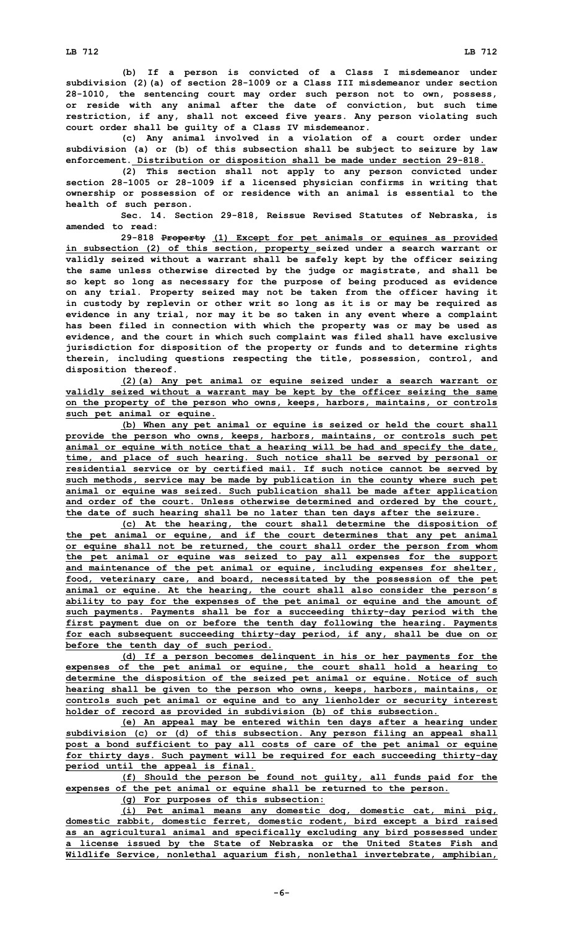**(b) If <sup>a</sup> person is convicted of <sup>a</sup> Class <sup>I</sup> misdemeanor under subdivision (2)(a) of section 28-1009 or <sup>a</sup> Class III misdemeanor under section 28-1010, the sentencing court may order such person not to own, possess,**

**or reside with any animal after the date of conviction, but such time restriction, if any, shall not exceed five years. Any person violating such court order shall be guilty of <sup>a</sup> Class IV misdemeanor.**

**(c) Any animal involved in <sup>a</sup> violation of <sup>a</sup> court order under subdivision (a) or (b) of this subsection shall be subject to seizure by law enforcement. Distribution or disposition shall be made under section 29-818.**

**(2) This section shall not apply to any person convicted under section 28-1005 or 28-1009 if <sup>a</sup> licensed physician confirms in writing that ownership or possession of or residence with an animal is essential to the health of such person.**

**Sec. 14. Section 29-818, Reissue Revised Statutes of Nebraska, is amended to read:**

**29-818 Property (1) Except for pet animals or equines as provided in subsection (2) of this section, property seized under <sup>a</sup> search warrant or validly seized without <sup>a</sup> warrant shall be safely kept by the officer seizing the same unless otherwise directed by the judge or magistrate, and shall be so kept so long as necessary for the purpose of being produced as evidence on any trial. Property seized may not be taken from the officer having it in custody by replevin or other writ so long as it is or may be required as evidence in any trial, nor may it be so taken in any event where <sup>a</sup> complaint has been filed in connection with which the property was or may be used as evidence, and the court in which such complaint was filed shall have exclusive jurisdiction for disposition of the property or funds and to determine rights therein, including questions respecting the title, possession, control, and disposition thereof.**

**(2)(a) Any pet animal or equine seized under <sup>a</sup> search warrant or validly seized without <sup>a</sup> warrant may be kept by the officer seizing the same on the property of the person who owns, keeps, harbors, maintains, or controls such pet animal or equine.**

**(b) When any pet animal or equine is seized or held the court shall provide the person who owns, keeps, harbors, maintains, or controls such pet animal or equine with notice that <sup>a</sup> hearing will be had and specify the date, time, and place of such hearing. Such notice shall be served by personal or residential service or by certified mail. If such notice cannot be served by such methods, service may be made by publication in the county where such pet animal or equine was seized. Such publication shall be made after application and order of the court. Unless otherwise determined and ordered by the court, the date of such hearing shall be no later than ten days after the seizure.**

**(c) At the hearing, the court shall determine the disposition of the pet animal or equine, and if the court determines that any pet animal or equine shall not be returned, the court shall order the person from whom the pet animal or equine was seized to pay all expenses for the support and maintenance of the pet animal or equine, including expenses for shelter, food, veterinary care, and board, necessitated by the possession of the pet animal or equine. At the hearing, the court shall also consider the person's ability to pay for the expenses of the pet animal or equine and the amount of such payments. Payments shall be for <sup>a</sup> succeeding thirty-day period with the first payment due on or before the tenth day following the hearing. Payments for each subsequent succeeding thirty-day period, if any, shall be due on or before the tenth day of such period.**

**(d) If <sup>a</sup> person becomes delinquent in his or her payments for the expenses of the pet animal or equine, the court shall hold <sup>a</sup> hearing to determine the disposition of the seized pet animal or equine. Notice of such hearing shall be given to the person who owns, keeps, harbors, maintains, or controls such pet animal or equine and to any lienholder or security interest holder of record as provided in subdivision (b) of this subsection.**

**(e) An appeal may be entered within ten days after <sup>a</sup> hearing under subdivision (c) or (d) of this subsection. Any person filing an appeal shall post <sup>a</sup> bond sufficient to pay all costs of care of the pet animal or equine for thirty days. Such payment will be required for each succeeding thirty-day period until the appeal is final.**

**(f) Should the person be found not guilty, all funds paid for the expenses of the pet animal or equine shall be returned to the person.**

**(g) For purposes of this subsection:**

**(i) Pet animal means any domestic dog, domestic cat, mini pig, domestic rabbit, domestic ferret, domestic rodent, bird except <sup>a</sup> bird raised as an agricultural animal and specifically excluding any bird possessed under <sup>a</sup> license issued by the State of Nebraska or the United States Fish and Wildlife Service, nonlethal aquarium fish, nonlethal invertebrate, amphibian,**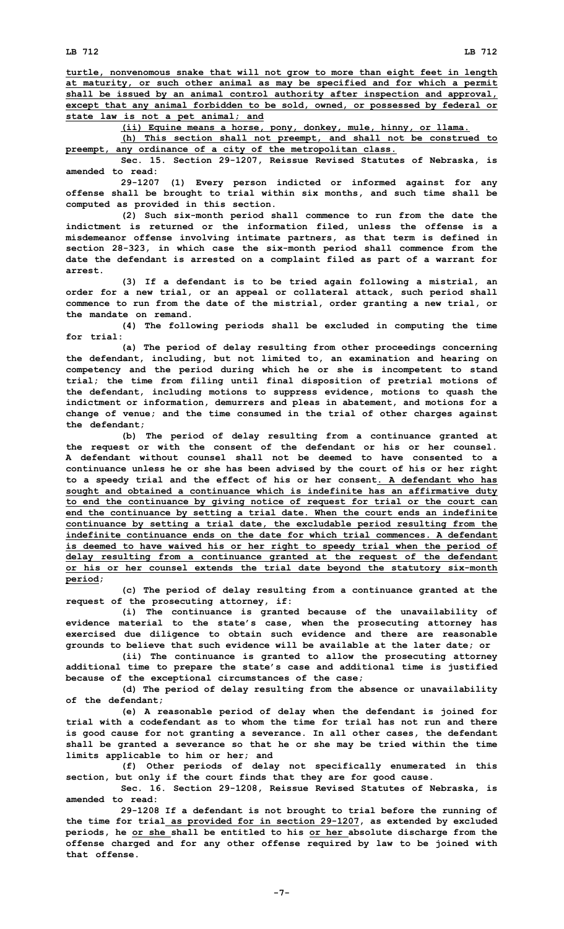**turtle, nonvenomous snake that will not grow to more than eight feet in length at maturity, or such other animal as may be specified and for which <sup>a</sup> permit shall be issued by an animal control authority after inspection and approval, except that any animal forbidden to be sold, owned, or possessed by federal or state law is not <sup>a</sup> pet animal; and**

**(ii) Equine means <sup>a</sup> horse, pony, donkey, mule, hinny, or llama.**

**(h) This section shall not preempt, and shall not be construed to preempt, any ordinance of <sup>a</sup> city of the metropolitan class.**

**Sec. 15. Section 29-1207, Reissue Revised Statutes of Nebraska, is amended to read:**

**29-1207 (1) Every person indicted or informed against for any offense shall be brought to trial within six months, and such time shall be computed as provided in this section.**

**(2) Such six-month period shall commence to run from the date the indictment is returned or the information filed, unless the offense is <sup>a</sup> misdemeanor offense involving intimate partners, as that term is defined in section 28-323, in which case the six-month period shall commence from the date the defendant is arrested on <sup>a</sup> complaint filed as part of <sup>a</sup> warrant for arrest.**

**(3) If <sup>a</sup> defendant is to be tried again following <sup>a</sup> mistrial, an order for <sup>a</sup> new trial, or an appeal or collateral attack, such period shall commence to run from the date of the mistrial, order granting <sup>a</sup> new trial, or the mandate on remand.**

**(4) The following periods shall be excluded in computing the time for trial:**

**(a) The period of delay resulting from other proceedings concerning the defendant, including, but not limited to, an examination and hearing on competency and the period during which he or she is incompetent to stand trial; the time from filing until final disposition of pretrial motions of the defendant, including motions to suppress evidence, motions to quash the indictment or information, demurrers and pleas in abatement, and motions for <sup>a</sup> change of venue; and the time consumed in the trial of other charges against the defendant;**

**(b) The period of delay resulting from <sup>a</sup> continuance granted at the request or with the consent of the defendant or his or her counsel. A defendant without counsel shall not be deemed to have consented to a continuance unless he or she has been advised by the court of his or her right to <sup>a</sup> speedy trial and the effect of his or her consent. A defendant who has sought and obtained <sup>a</sup> continuance which is indefinite has an affirmative duty to end the continuance by giving notice of request for trial or the court can end the continuance by setting <sup>a</sup> trial date. When the court ends an indefinite continuance by setting <sup>a</sup> trial date, the excludable period resulting from the indefinite continuance ends on the date for which trial commences. A defendant is deemed to have waived his or her right to speedy trial when the period of delay resulting from <sup>a</sup> continuance granted at the request of the defendant or his or her counsel extends the trial date beyond the statutory six-month period;**

**(c) The period of delay resulting from <sup>a</sup> continuance granted at the request of the prosecuting attorney, if:**

**(i) The continuance is granted because of the unavailability of evidence material to the state's case, when the prosecuting attorney has exercised due diligence to obtain such evidence and there are reasonable grounds to believe that such evidence will be available at the later date; or**

**(ii) The continuance is granted to allow the prosecuting attorney additional time to prepare the state's case and additional time is justified because of the exceptional circumstances of the case;**

**(d) The period of delay resulting from the absence or unavailability of the defendant;**

**(e) <sup>A</sup> reasonable period of delay when the defendant is joined for trial with a codefendant as to whom the time for trial has not run and there is good cause for not granting <sup>a</sup> severance. In all other cases, the defendant shall be granted <sup>a</sup> severance so that he or she may be tried within the time limits applicable to him or her; and**

**(f) Other periods of delay not specifically enumerated in this section, but only if the court finds that they are for good cause.**

**Sec. 16. Section 29-1208, Reissue Revised Statutes of Nebraska, is amended to read:**

**29-1208 If <sup>a</sup> defendant is not brought to trial before the running of the time for trial as provided for in section 29-1207, as extended by excluded periods, he or she shall be entitled to his or her absolute discharge from the offense charged and for any other offense required by law to be joined with that offense.**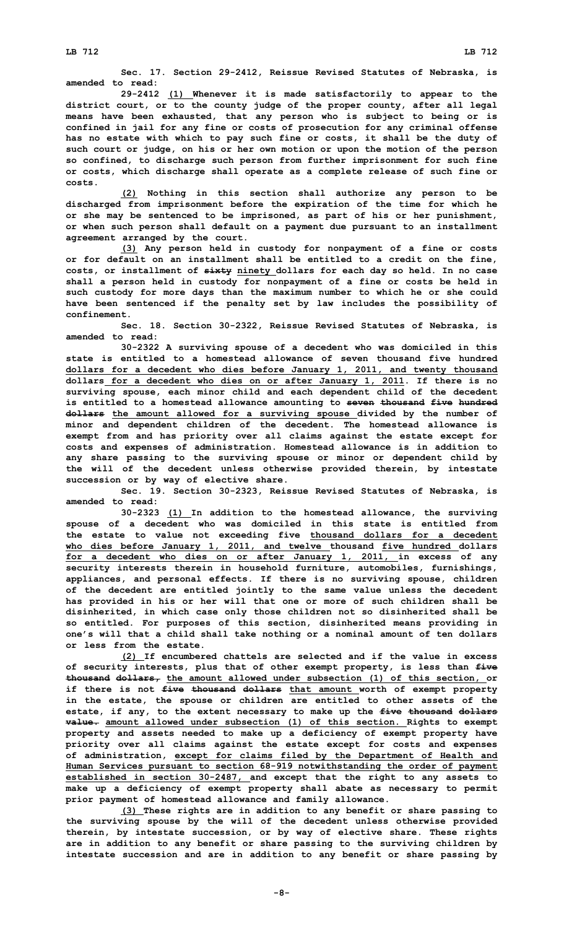**Sec. 17. Section 29-2412, Reissue Revised Statutes of Nebraska, is amended to read:**

**29-2412 (1) Whenever it is made satisfactorily to appear to the district court, or to the county judge of the proper county, after all legal means have been exhausted, that any person who is subject to being or is confined in jail for any fine or costs of prosecution for any criminal offense has no estate with which to pay such fine or costs, it shall be the duty of such court or judge, on his or her own motion or upon the motion of the person so confined, to discharge such person from further imprisonment for such fine or costs, which discharge shall operate as <sup>a</sup> complete release of such fine or costs.**

**(2) Nothing in this section shall authorize any person to be discharged from imprisonment before the expiration of the time for which he or she may be sentenced to be imprisoned, as part of his or her punishment, or when such person shall default on <sup>a</sup> payment due pursuant to an installment agreement arranged by the court.**

**(3) Any person held in custody for nonpayment of <sup>a</sup> fine or costs or for default on an installment shall be entitled to <sup>a</sup> credit on the fine, costs, or installment of sixty ninety dollars for each day so held. In no case shall <sup>a</sup> person held in custody for nonpayment of <sup>a</sup> fine or costs be held in such custody for more days than the maximum number to which he or she could have been sentenced if the penalty set by law includes the possibility of confinement.**

**Sec. 18. Section 30-2322, Reissue Revised Statutes of Nebraska, is amended to read:**

**30-2322 <sup>A</sup> surviving spouse of <sup>a</sup> decedent who was domiciled in this state is entitled to a homestead allowance of seven thousand five hundred dollars for <sup>a</sup> decedent who dies before January 1, 2011, and twenty thousand dollars for <sup>a</sup> decedent who dies on or after January 1, 2011. If there is no surviving spouse, each minor child and each dependent child of the decedent is entitled to <sup>a</sup> homestead allowance amounting to seven thousand five hundred dollars the amount allowed for <sup>a</sup> surviving spouse divided by the number of minor and dependent children of the decedent. The homestead allowance is exempt from and has priority over all claims against the estate except for costs and expenses of administration. Homestead allowance is in addition to any share passing to the surviving spouse or minor or dependent child by the will of the decedent unless otherwise provided therein, by intestate succession or by way of elective share.**

**Sec. 19. Section 30-2323, Reissue Revised Statutes of Nebraska, is amended to read:**

**30-2323 (1) In addition to the homestead allowance, the surviving spouse of <sup>a</sup> decedent who was domiciled in this state is entitled from the estate to value not exceeding five thousand dollars for <sup>a</sup> decedent who dies before January 1, 2011, and twelve thousand five hundred dollars for <sup>a</sup> decedent who dies on or after January 1, 2011, in excess of any security interests therein in household furniture, automobiles, furnishings, appliances, and personal effects. If there is no surviving spouse, children of the decedent are entitled jointly to the same value unless the decedent has provided in his or her will that one or more of such children shall be disinherited, in which case only those children not so disinherited shall be so entitled. For purposes of this section, disinherited means providing in one's will that <sup>a</sup> child shall take nothing or <sup>a</sup> nominal amount of ten dollars or less from the estate.**

**(2) If encumbered chattels are selected and if the value in excess of security interests, plus that of other exempt property, is less than five thousand dollars, the amount allowed under subsection (1) of this section, or if there is not five thousand dollars that amount worth of exempt property in the estate, the spouse or children are entitled to other assets of the estate, if any, to the extent necessary to make up the five thousand dollars value. amount allowed under subsection (1) of this section. Rights to exempt property and assets needed to make up <sup>a</sup> deficiency of exempt property have priority over all claims against the estate except for costs and expenses of administration, except for claims filed by the Department of Health and Human Services pursuant to section 68-919 notwithstanding the order of payment established in section 30-2487, and except that the right to any assets to make up <sup>a</sup> deficiency of exempt property shall abate as necessary to permit prior payment of homestead allowance and family allowance.**

**(3) These rights are in addition to any benefit or share passing to the surviving spouse by the will of the decedent unless otherwise provided therein, by intestate succession, or by way of elective share. These rights are in addition to any benefit or share passing to the surviving children by intestate succession and are in addition to any benefit or share passing by**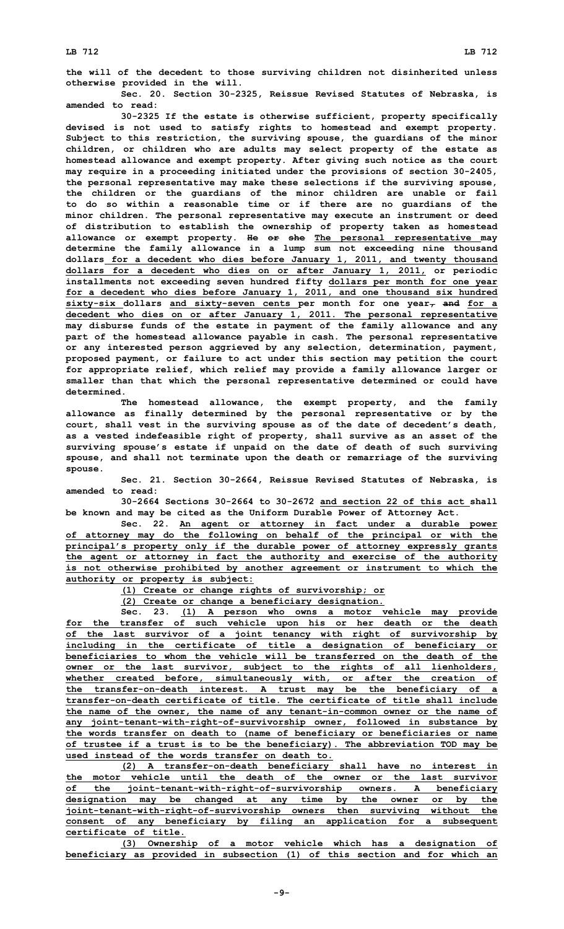**the will of the decedent to those surviving children not disinherited unless otherwise provided in the will.**

**Sec. 20. Section 30-2325, Reissue Revised Statutes of Nebraska, is amended to read:**

**30-2325 If the estate is otherwise sufficient, property specifically devised is not used to satisfy rights to homestead and exempt property. Subject to this restriction, the surviving spouse, the guardians of the minor children, or children who are adults may select property of the estate as homestead allowance and exempt property. After giving such notice as the court may require in <sup>a</sup> proceeding initiated under the provisions of section 30-2405, the personal representative may make these selections if the surviving spouse, the children or the guardians of the minor children are unable or fail to do so within <sup>a</sup> reasonable time or if there are no guardians of the minor children. The personal representative may execute an instrument or deed of distribution to establish the ownership of property taken as homestead allowance or exempt property. He or she The personal representative may determine the family allowance in <sup>a</sup> lump sum not exceeding nine thousand dollars for <sup>a</sup> decedent who dies before January 1, 2011, and twenty thousand dollars for <sup>a</sup> decedent who dies on or after January 1, 2011, or periodic installments not exceeding seven hundred fifty dollars per month for one year for <sup>a</sup> decedent who dies before January 1, 2011, and one thousand six hundred sixty-six dollars and sixty-seven cents per month for one year, and for <sup>a</sup> decedent who dies on or after January 1, 2011. The personal representative may disburse funds of the estate in payment of the family allowance and any part of the homestead allowance payable in cash. The personal representative or any interested person aggrieved by any selection, determination, payment, proposed payment, or failure to act under this section may petition the court for appropriate relief, which relief may provide <sup>a</sup> family allowance larger or smaller than that which the personal representative determined or could have determined.**

**The homestead allowance, the exempt property, and the family allowance as finally determined by the personal representative or by the court, shall vest in the surviving spouse as of the date of decedent's death, as <sup>a</sup> vested indefeasible right of property, shall survive as an asset of the surviving spouse's estate if unpaid on the date of death of such surviving spouse, and shall not terminate upon the death or remarriage of the surviving spouse.**

**Sec. 21. Section 30-2664, Reissue Revised Statutes of Nebraska, is amended to read:**

**30-2664 Sections 30-2664 to 30-2672 and section 22 of this act shall be known and may be cited as the Uniform Durable Power of Attorney Act.**

**Sec. 22. An agent or attorney in fact under <sup>a</sup> durable power of attorney may do the following on behalf of the principal or with the principal's property only if the durable power of attorney expressly grants the agent or attorney in fact the authority and exercise of the authority is not otherwise prohibited by another agreement or instrument to which the authority or property is subject:**

**(1) Create or change rights of survivorship; or**

**(2) Create or change <sup>a</sup> beneficiary designation.**

**Sec. 23. (1) <sup>A</sup> person who owns <sup>a</sup> motor vehicle may provide for the transfer of such vehicle upon his or her death or the death of the last survivor of <sup>a</sup> joint tenancy with right of survivorship by including in the certificate of title <sup>a</sup> designation of beneficiary or beneficiaries to whom the vehicle will be transferred on the death of the owner or the last survivor, subject to the rights of all lienholders, whether created before, simultaneously with, or after the creation of the transfer-on-death interest. A trust may be the beneficiary of <sup>a</sup> transfer-on-death certificate of title. The certificate of title shall include the name of the owner, the name of any tenant-in-common owner or the name of any joint-tenant-with-right-of-survivorship owner, followed in substance by the words transfer on death to (name of beneficiary or beneficiaries or name of trustee if <sup>a</sup> trust is to be the beneficiary). The abbreviation TOD may be used instead of the words transfer on death to.**

**(2) <sup>A</sup> transfer-on-death beneficiary shall have no interest in the motor vehicle until the death of the owner or the last survivor of the joint-tenant-with-right-of-survivorship owners. A beneficiary designation may be changed at any time by the owner or by the joint-tenant-with-right-of-survivorship owners then surviving without the consent of any beneficiary by filing an application for <sup>a</sup> subsequent certificate of title.**

**(3) Ownership of <sup>a</sup> motor vehicle which has <sup>a</sup> designation of beneficiary as provided in subsection (1) of this section and for which an**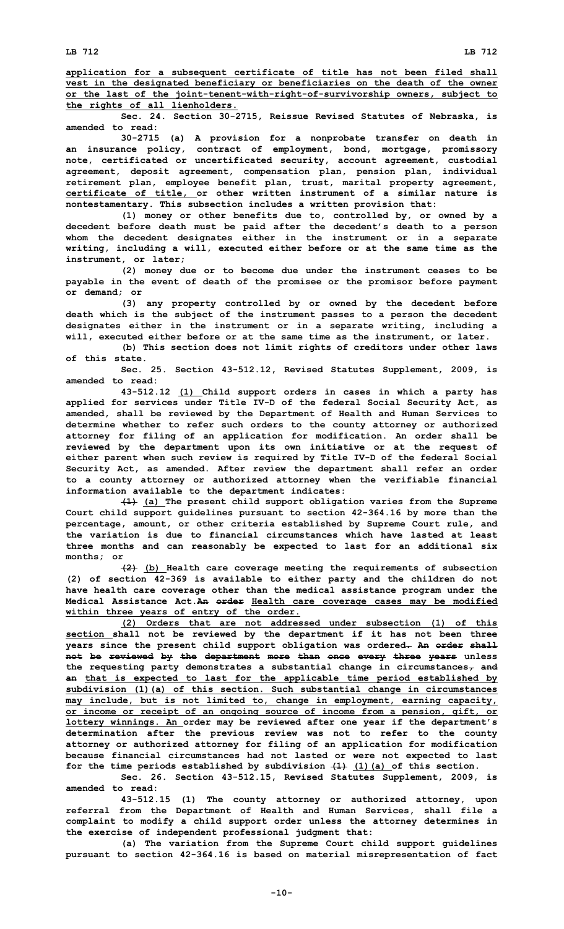**Sec. 24. Section 30-2715, Reissue Revised Statutes of Nebraska, is amended to read:**

**30-2715 (a) <sup>A</sup> provision for <sup>a</sup> nonprobate transfer on death in an insurance policy, contract of employment, bond, mortgage, promissory note, certificated or uncertificated security, account agreement, custodial agreement, deposit agreement, compensation plan, pension plan, individual retirement plan, employee benefit plan, trust, marital property agreement, certificate of title, or other written instrument of <sup>a</sup> similar nature is nontestamentary. This subsection includes <sup>a</sup> written provision that:**

**(1) money or other benefits due to, controlled by, or owned by <sup>a</sup> decedent before death must be paid after the decedent's death to <sup>a</sup> person whom the decedent designates either in the instrument or in <sup>a</sup> separate writing, including <sup>a</sup> will, executed either before or at the same time as the instrument, or later;**

**(2) money due or to become due under the instrument ceases to be payable in the event of death of the promisee or the promisor before payment or demand; or**

**(3) any property controlled by or owned by the decedent before death which is the subject of the instrument passes to <sup>a</sup> person the decedent designates either in the instrument or in <sup>a</sup> separate writing, including <sup>a</sup> will, executed either before or at the same time as the instrument, or later.**

**(b) This section does not limit rights of creditors under other laws of this state.**

**Sec. 25. Section 43-512.12, Revised Statutes Supplement, 2009, is amended to read:**

**43-512.12 (1) Child support orders in cases in which <sup>a</sup> party has applied for services under Title IV-D of the federal Social Security Act, as amended, shall be reviewed by the Department of Health and Human Services to determine whether to refer such orders to the county attorney or authorized attorney for filing of an application for modification. An order shall be reviewed by the department upon its own initiative or at the request of either parent when such review is required by Title IV-D of the federal Social Security Act, as amended. After review the department shall refer an order to <sup>a</sup> county attorney or authorized attorney when the verifiable financial information available to the department indicates:**

**(1) (a) The present child support obligation varies from the Supreme Court child support guidelines pursuant to section 42-364.16 by more than the percentage, amount, or other criteria established by Supreme Court rule, and the variation is due to financial circumstances which have lasted at least three months and can reasonably be expected to last for an additional six months; or**

**(2) (b) Health care coverage meeting the requirements of subsection (2) of section 42-369 is available to either party and the children do not have health care coverage other than the medical assistance program under the Medical Assistance Act.An order Health care coverage cases may be modified within three years of entry of the order.**

**(2) Orders that are not addressed under subsection (1) of this section shall not be reviewed by the department if it has not been three years since the present child support obligation was ordered. An order shall not be reviewed by the department more than once every three years unless the requesting party demonstrates <sup>a</sup> substantial change in circumstances, and an that is expected to last for the applicable time period established by subdivision (1)(a) of this section. Such substantial change in circumstances may include, but is not limited to, change in employment, earning capacity, or income or receipt of an ongoing source of income from <sup>a</sup> pension, gift, or lottery winnings. An order may be reviewed after one year if the department's determination after the previous review was not to refer to the county attorney or authorized attorney for filing of an application for modification because financial circumstances had not lasted or were not expected to last for the time periods established by subdivision (1) (1)(a) of this section.**

**Sec. 26. Section 43-512.15, Revised Statutes Supplement, 2009, is amended to read:**

**43-512.15 (1) The county attorney or authorized attorney, upon referral from the Department of Health and Human Services, shall file <sup>a</sup> complaint to modify <sup>a</sup> child support order unless the attorney determines in the exercise of independent professional judgment that:**

**(a) The variation from the Supreme Court child support guidelines pursuant to section 42-364.16 is based on material misrepresentation of fact**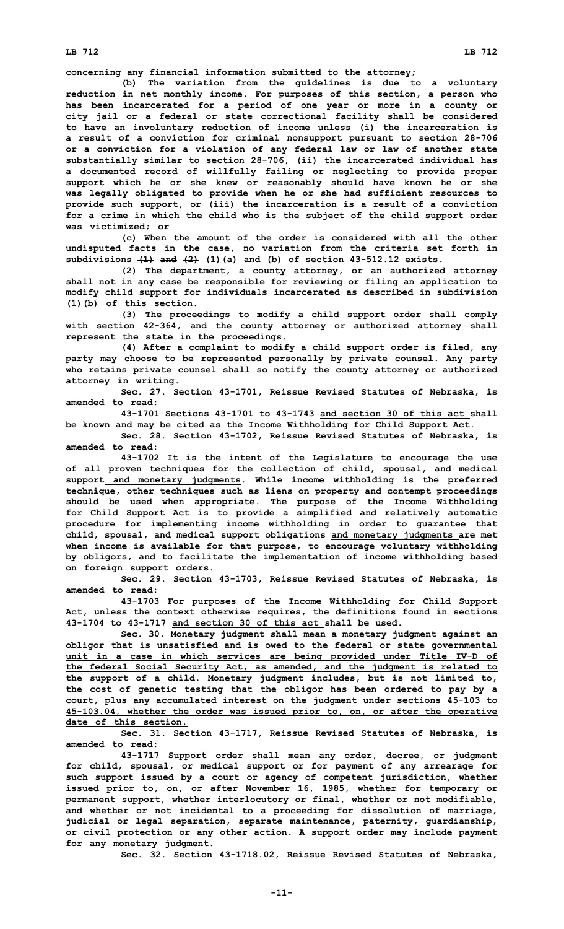## **LB 712 LB 712**

**concerning any financial information submitted to the attorney;**

**(b) The variation from the guidelines is due to <sup>a</sup> voluntary reduction in net monthly income. For purposes of this section, <sup>a</sup> person who has been incarcerated for <sup>a</sup> period of one year or more in <sup>a</sup> county or city jail or <sup>a</sup> federal or state correctional facility shall be considered to have an involuntary reduction of income unless (i) the incarceration is <sup>a</sup> result of <sup>a</sup> conviction for criminal nonsupport pursuant to section 28-706 or <sup>a</sup> conviction for <sup>a</sup> violation of any federal law or law of another state substantially similar to section 28-706, (ii) the incarcerated individual has <sup>a</sup> documented record of willfully failing or neglecting to provide proper support which he or she knew or reasonably should have known he or she was legally obligated to provide when he or she had sufficient resources to provide such support, or (iii) the incarceration is <sup>a</sup> result of <sup>a</sup> conviction for <sup>a</sup> crime in which the child who is the subject of the child support order was victimized; or**

**(c) When the amount of the order is considered with all the other undisputed facts in the case, no variation from the criteria set forth in subdivisions (1) and (2) (1)(a) and (b) of section 43-512.12 exists.**

**(2) The department, <sup>a</sup> county attorney, or an authorized attorney shall not in any case be responsible for reviewing or filing an application to modify child support for individuals incarcerated as described in subdivision (1)(b) of this section.**

**(3) The proceedings to modify <sup>a</sup> child support order shall comply with section 42-364, and the county attorney or authorized attorney shall represent the state in the proceedings.**

**(4) After <sup>a</sup> complaint to modify <sup>a</sup> child support order is filed, any party may choose to be represented personally by private counsel. Any party who retains private counsel shall so notify the county attorney or authorized attorney in writing.**

**Sec. 27. Section 43-1701, Reissue Revised Statutes of Nebraska, is amended to read:**

**43-1701 Sections 43-1701 to 43-1743 and section 30 of this act shall be known and may be cited as the Income Withholding for Child Support Act.**

**Sec. 28. Section 43-1702, Reissue Revised Statutes of Nebraska, is amended to read:**

**43-1702 It is the intent of the Legislature to encourage the use of all proven techniques for the collection of child, spousal, and medical support and monetary judgments. While income withholding is the preferred technique, other techniques such as liens on property and contempt proceedings should be used when appropriate. The purpose of the Income Withholding for Child Support Act is to provide <sup>a</sup> simplified and relatively automatic procedure for implementing income withholding in order to guarantee that child, spousal, and medical support obligations and monetary judgments are met when income is available for that purpose, to encourage voluntary withholding by obligors, and to facilitate the implementation of income withholding based on foreign support orders.**

**Sec. 29. Section 43-1703, Reissue Revised Statutes of Nebraska, is amended to read:**

**43-1703 For purposes of the Income Withholding for Child Support Act, unless the context otherwise requires, the definitions found in sections 43-1704 to 43-1717 and section 30 of this act shall be used.**

**Sec. 30. Monetary judgment shall mean <sup>a</sup> monetary judgment against an obligor that is unsatisfied and is owed to the federal or state governmental unit in <sup>a</sup> case in which services are being provided under Title IV-D of the federal Social Security Act, as amended, and the judgment is related to the support of <sup>a</sup> child. Monetary judgment includes, but is not limited to, the cost of genetic testing that the obligor has been ordered to pay by <sup>a</sup> court, plus any accumulated interest on the judgment under sections 45-103 to 45-103.04, whether the order was issued prior to, on, or after the operative date of this section.**

**Sec. 31. Section 43-1717, Reissue Revised Statutes of Nebraska, is amended to read:**

**43-1717 Support order shall mean any order, decree, or judgment for child, spousal, or medical support or for payment of any arrearage for such support issued by <sup>a</sup> court or agency of competent jurisdiction, whether issued prior to, on, or after November 16, 1985, whether for temporary or permanent support, whether interlocutory or final, whether or not modifiable, and whether or not incidental to <sup>a</sup> proceeding for dissolution of marriage, judicial or legal separation, separate maintenance, paternity, guardianship, or civil protection or any other action. A support order may include payment for any monetary judgment.**

**Sec. 32. Section 43-1718.02, Reissue Revised Statutes of Nebraska,**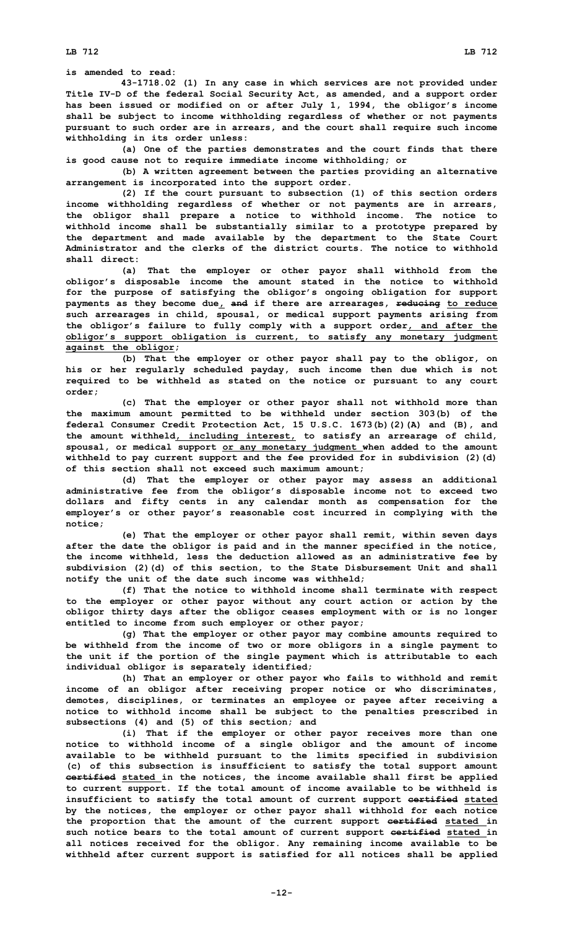**is amended to read:**

**43-1718.02 (1) In any case in which services are not provided under Title IV-D of the federal Social Security Act, as amended, and <sup>a</sup> support order has been issued or modified on or after July 1, 1994, the obligor's income shall be subject to income withholding regardless of whether or not payments pursuant to such order are in arrears, and the court shall require such income withholding in its order unless:**

**(a) One of the parties demonstrates and the court finds that there is good cause not to require immediate income withholding; or**

**(b) <sup>A</sup> written agreement between the parties providing an alternative arrangement is incorporated into the support order.**

**(2) If the court pursuant to subsection (1) of this section orders income withholding regardless of whether or not payments are in arrears, the obligor shall prepare <sup>a</sup> notice to withhold income. The notice to withhold income shall be substantially similar to <sup>a</sup> prototype prepared by the department and made available by the department to the State Court Administrator and the clerks of the district courts. The notice to withhold shall direct:**

**(a) That the employer or other payor shall withhold from the obligor's disposable income the amount stated in the notice to withhold for the purpose of satisfying the obligor's ongoing obligation for support payments as they become due, and if there are arrearages, reducing to reduce such arrearages in child, spousal, or medical support payments arising from the obligor's failure to fully comply with <sup>a</sup> support order, and after the obligor's support obligation is current, to satisfy any monetary judgment against the obligor;**

**(b) That the employer or other payor shall pay to the obligor, on his or her regularly scheduled payday, such income then due which is not required to be withheld as stated on the notice or pursuant to any court order;**

**(c) That the employer or other payor shall not withhold more than the maximum amount permitted to be withheld under section 303(b) of the federal Consumer Credit Protection Act, 15 U.S.C. 1673(b)(2)(A) and (B), and the amount withheld, including interest, to satisfy an arrearage of child, spousal, or medical support or any monetary judgment when added to the amount withheld to pay current support and the fee provided for in subdivision (2)(d) of this section shall not exceed such maximum amount;**

**(d) That the employer or other payor may assess an additional administrative fee from the obligor's disposable income not to exceed two dollars and fifty cents in any calendar month as compensation for the employer's or other payor's reasonable cost incurred in complying with the notice;**

**(e) That the employer or other payor shall remit, within seven days after the date the obligor is paid and in the manner specified in the notice, the income withheld, less the deduction allowed as an administrative fee by subdivision (2)(d) of this section, to the State Disbursement Unit and shall notify the unit of the date such income was withheld;**

**(f) That the notice to withhold income shall terminate with respect to the employer or other payor without any court action or action by the obligor thirty days after the obligor ceases employment with or is no longer entitled to income from such employer or other payor;**

**(g) That the employer or other payor may combine amounts required to be withheld from the income of two or more obligors in <sup>a</sup> single payment to the unit if the portion of the single payment which is attributable to each individual obligor is separately identified;**

**(h) That an employer or other payor who fails to withhold and remit income of an obligor after receiving proper notice or who discriminates, demotes, disciplines, or terminates an employee or payee after receiving <sup>a</sup> notice to withhold income shall be subject to the penalties prescribed in subsections (4) and (5) of this section; and**

**(i) That if the employer or other payor receives more than one notice to withhold income of <sup>a</sup> single obligor and the amount of income available to be withheld pursuant to the limits specified in subdivision (c) of this subsection is insufficient to satisfy the total support amount certified stated in the notices, the income available shall first be applied to current support. If the total amount of income available to be withheld is insufficient to satisfy the total amount of current support certified stated by the notices, the employer or other payor shall withhold for each notice the proportion that the amount of the current support certified stated in such notice bears to the total amount of current support certified stated in all notices received for the obligor. Any remaining income available to be withheld after current support is satisfied for all notices shall be applied**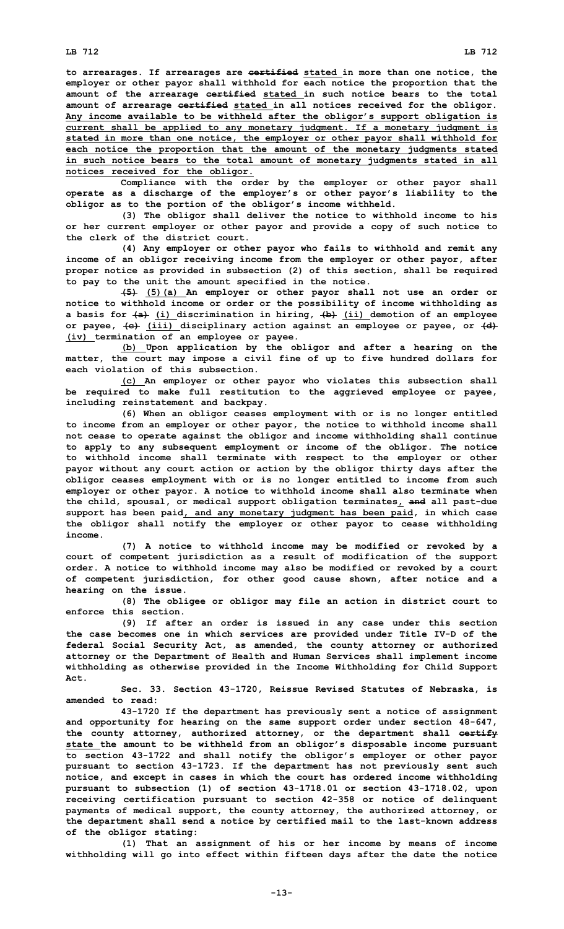**to arrearages. If arrearages are certified stated in more than one notice, the employer or other payor shall withhold for each notice the proportion that the amount of the arrearage certified stated in such notice bears to the total amount of arrearage certified stated in all notices received for the obligor. Any income available to be withheld after the obligor's support obligation is current shall be applied to any monetary judgment. If <sup>a</sup> monetary judgment is stated in more than one notice, the employer or other payor shall withhold for each notice the proportion that the amount of the monetary judgments stated in such notice bears to the total amount of monetary judgments stated in all notices received for the obligor.**

**Compliance with the order by the employer or other payor shall operate as <sup>a</sup> discharge of the employer's or other payor's liability to the obligor as to the portion of the obligor's income withheld.**

**(3) The obligor shall deliver the notice to withhold income to his or her current employer or other payor and provide <sup>a</sup> copy of such notice to the clerk of the district court.**

**(4) Any employer or other payor who fails to withhold and remit any income of an obligor receiving income from the employer or other payor, after proper notice as provided in subsection (2) of this section, shall be required to pay to the unit the amount specified in the notice.**

**(5) (5)(a) An employer or other payor shall not use an order or notice to withhold income or order or the possibility of income withholding as <sup>a</sup> basis for (a) (i) discrimination in hiring, (b) (ii) demotion of an employee or payee, (c) (iii) disciplinary action against an employee or payee, or (d) (iv) termination of an employee or payee.**

**(b) Upon application by the obligor and after <sup>a</sup> hearing on the matter, the court may impose <sup>a</sup> civil fine of up to five hundred dollars for each violation of this subsection.**

**(c) An employer or other payor who violates this subsection shall be required to make full restitution to the aggrieved employee or payee, including reinstatement and backpay.**

**(6) When an obligor ceases employment with or is no longer entitled to income from an employer or other payor, the notice to withhold income shall not cease to operate against the obligor and income withholding shall continue to apply to any subsequent employment or income of the obligor. The notice to withhold income shall terminate with respect to the employer or other payor without any court action or action by the obligor thirty days after the obligor ceases employment with or is no longer entitled to income from such employer or other payor. A notice to withhold income shall also terminate when the child, spousal, or medical support obligation terminates, and all past-due support has been paid, and any monetary judgment has been paid, in which case the obligor shall notify the employer or other payor to cease withholding income.**

**(7) <sup>A</sup> notice to withhold income may be modified or revoked by <sup>a</sup> court of competent jurisdiction as <sup>a</sup> result of modification of the support order. A notice to withhold income may also be modified or revoked by <sup>a</sup> court of competent jurisdiction, for other good cause shown, after notice and <sup>a</sup> hearing on the issue.**

**(8) The obligee or obligor may file an action in district court to enforce this section.**

**(9) If after an order is issued in any case under this section the case becomes one in which services are provided under Title IV-D of the federal Social Security Act, as amended, the county attorney or authorized attorney or the Department of Health and Human Services shall implement income withholding as otherwise provided in the Income Withholding for Child Support Act.**

**Sec. 33. Section 43-1720, Reissue Revised Statutes of Nebraska, is amended to read:**

**43-1720 If the department has previously sent <sup>a</sup> notice of assignment and opportunity for hearing on the same support order under section 48-647, the county attorney, authorized attorney, or the department shall certify state the amount to be withheld from an obligor's disposable income pursuant to section 43-1722 and shall notify the obligor's employer or other payor pursuant to section 43-1723. If the department has not previously sent such notice, and except in cases in which the court has ordered income withholding pursuant to subsection (1) of section 43-1718.01 or section 43-1718.02, upon receiving certification pursuant to section 42-358 or notice of delinquent payments of medical support, the county attorney, the authorized attorney, or the department shall send <sup>a</sup> notice by certified mail to the last-known address of the obligor stating:**

**(1) That an assignment of his or her income by means of income withholding will go into effect within fifteen days after the date the notice**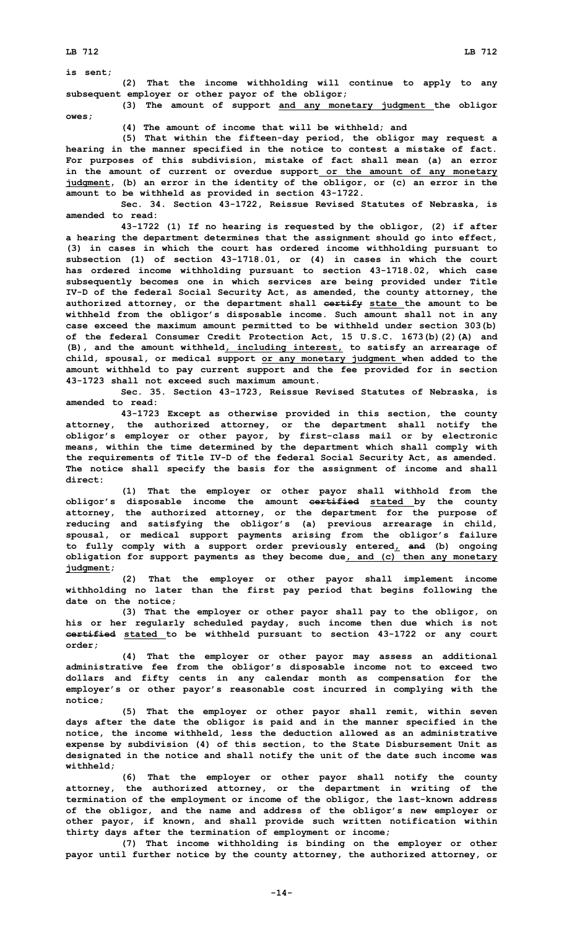**is sent;**

**(2) That the income withholding will continue to apply to any subsequent employer or other payor of the obligor;**

**(3) The amount of support and any monetary judgment the obligor owes;**

**(4) The amount of income that will be withheld; and**

**(5) That within the fifteen-day period, the obligor may request <sup>a</sup> hearing in the manner specified in the notice to contest <sup>a</sup> mistake of fact. For purposes of this subdivision, mistake of fact shall mean (a) an error in the amount of current or overdue support or the amount of any monetary judgment, (b) an error in the identity of the obligor, or (c) an error in the amount to be withheld as provided in section 43-1722.**

**Sec. 34. Section 43-1722, Reissue Revised Statutes of Nebraska, is amended to read:**

**43-1722 (1) If no hearing is requested by the obligor, (2) if after <sup>a</sup> hearing the department determines that the assignment should go into effect, (3) in cases in which the court has ordered income withholding pursuant to subsection (1) of section 43-1718.01, or (4) in cases in which the court has ordered income withholding pursuant to section 43-1718.02, which case subsequently becomes one in which services are being provided under Title IV-D of the federal Social Security Act, as amended, the county attorney, the authorized attorney, or the department shall certify state the amount to be withheld from the obligor's disposable income. Such amount shall not in any case exceed the maximum amount permitted to be withheld under section 303(b) of the federal Consumer Credit Protection Act, 15 U.S.C. 1673(b)(2)(A) and (B), and the amount withheld, including interest, to satisfy an arrearage of child, spousal, or medical support or any monetary judgment when added to the amount withheld to pay current support and the fee provided for in section 43-1723 shall not exceed such maximum amount.**

**Sec. 35. Section 43-1723, Reissue Revised Statutes of Nebraska, is amended to read:**

**43-1723 Except as otherwise provided in this section, the county attorney, the authorized attorney, or the department shall notify the obligor's employer or other payor, by first-class mail or by electronic means, within the time determined by the department which shall comply with the requirements of Title IV-D of the federal Social Security Act, as amended. The notice shall specify the basis for the assignment of income and shall direct:**

**(1) That the employer or other payor shall withhold from the obligor's disposable income the amount certified stated by the county attorney, the authorized attorney, or the department for the purpose of reducing and satisfying the obligor's (a) previous arrearage in child, spousal, or medical support payments arising from the obligor's failure to fully comply with <sup>a</sup> support order previously entered, and (b) ongoing obligation for support payments as they become due, and (c) then any monetary judgment;**

**(2) That the employer or other payor shall implement income withholding no later than the first pay period that begins following the date on the notice;**

**(3) That the employer or other payor shall pay to the obligor, on his or her regularly scheduled payday, such income then due which is not certified stated to be withheld pursuant to section 43-1722 or any court order;**

**(4) That the employer or other payor may assess an additional administrative fee from the obligor's disposable income not to exceed two dollars and fifty cents in any calendar month as compensation for the employer's or other payor's reasonable cost incurred in complying with the notice;**

**(5) That the employer or other payor shall remit, within seven days after the date the obligor is paid and in the manner specified in the notice, the income withheld, less the deduction allowed as an administrative expense by subdivision (4) of this section, to the State Disbursement Unit as designated in the notice and shall notify the unit of the date such income was withheld;**

**(6) That the employer or other payor shall notify the county attorney, the authorized attorney, or the department in writing of the termination of the employment or income of the obligor, the last-known address of the obligor, and the name and address of the obligor's new employer or other payor, if known, and shall provide such written notification within thirty days after the termination of employment or income;**

**(7) That income withholding is binding on the employer or other payor until further notice by the county attorney, the authorized attorney, or**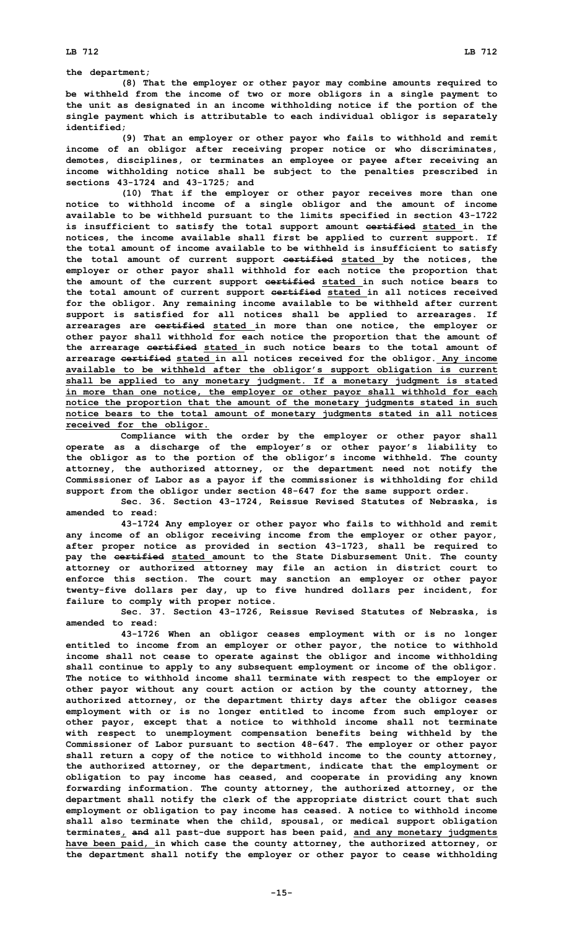**the department;**

**(8) That the employer or other payor may combine amounts required to be withheld from the income of two or more obligors in <sup>a</sup> single payment to the unit as designated in an income withholding notice if the portion of the single payment which is attributable to each individual obligor is separately identified;**

**(9) That an employer or other payor who fails to withhold and remit income of an obligor after receiving proper notice or who discriminates, demotes, disciplines, or terminates an employee or payee after receiving an income withholding notice shall be subject to the penalties prescribed in sections 43-1724 and 43-1725; and**

**(10) That if the employer or other payor receives more than one notice to withhold income of <sup>a</sup> single obligor and the amount of income available to be withheld pursuant to the limits specified in section 43-1722 is insufficient to satisfy the total support amount certified stated in the notices, the income available shall first be applied to current support. If the total amount of income available to be withheld is insufficient to satisfy the total amount of current support certified stated by the notices, the employer or other payor shall withhold for each notice the proportion that the amount of the current support certified stated in such notice bears to the total amount of current support certified stated in all notices received for the obligor. Any remaining income available to be withheld after current support is satisfied for all notices shall be applied to arrearages. If arrearages are certified stated in more than one notice, the employer or other payor shall withhold for each notice the proportion that the amount of the arrearage certified stated in such notice bears to the total amount of arrearage certified stated in all notices received for the obligor. Any income available to be withheld after the obligor's support obligation is current shall be applied to any monetary judgment. If <sup>a</sup> monetary judgment is stated in more than one notice, the employer or other payor shall withhold for each notice the proportion that the amount of the monetary judgments stated in such notice bears to the total amount of monetary judgments stated in all notices received for the obligor.**

**Compliance with the order by the employer or other payor shall operate as <sup>a</sup> discharge of the employer's or other payor's liability to the obligor as to the portion of the obligor's income withheld. The county attorney, the authorized attorney, or the department need not notify the Commissioner of Labor as <sup>a</sup> payor if the commissioner is withholding for child support from the obligor under section 48-647 for the same support order.**

**Sec. 36. Section 43-1724, Reissue Revised Statutes of Nebraska, is amended to read:**

**43-1724 Any employer or other payor who fails to withhold and remit any income of an obligor receiving income from the employer or other payor, after proper notice as provided in section 43-1723, shall be required to pay the certified stated amount to the State Disbursement Unit. The county attorney or authorized attorney may file an action in district court to enforce this section. The court may sanction an employer or other payor twenty-five dollars per day, up to five hundred dollars per incident, for failure to comply with proper notice.**

**Sec. 37. Section 43-1726, Reissue Revised Statutes of Nebraska, is amended to read:**

**43-1726 When an obligor ceases employment with or is no longer entitled to income from an employer or other payor, the notice to withhold income shall not cease to operate against the obligor and income withholding shall continue to apply to any subsequent employment or income of the obligor. The notice to withhold income shall terminate with respect to the employer or other payor without any court action or action by the county attorney, the authorized attorney, or the department thirty days after the obligor ceases employment with or is no longer entitled to income from such employer or other payor, except that <sup>a</sup> notice to withhold income shall not terminate with respect to unemployment compensation benefits being withheld by the Commissioner of Labor pursuant to section 48-647. The employer or other payor shall return <sup>a</sup> copy of the notice to withhold income to the county attorney, the authorized attorney, or the department, indicate that the employment or obligation to pay income has ceased, and cooperate in providing any known forwarding information. The county attorney, the authorized attorney, or the department shall notify the clerk of the appropriate district court that such employment or obligation to pay income has ceased. A notice to withhold income shall also terminate when the child, spousal, or medical support obligation terminates, and all past-due support has been paid, and any monetary judgments have been paid, in which case the county attorney, the authorized attorney, or the department shall notify the employer or other payor to cease withholding**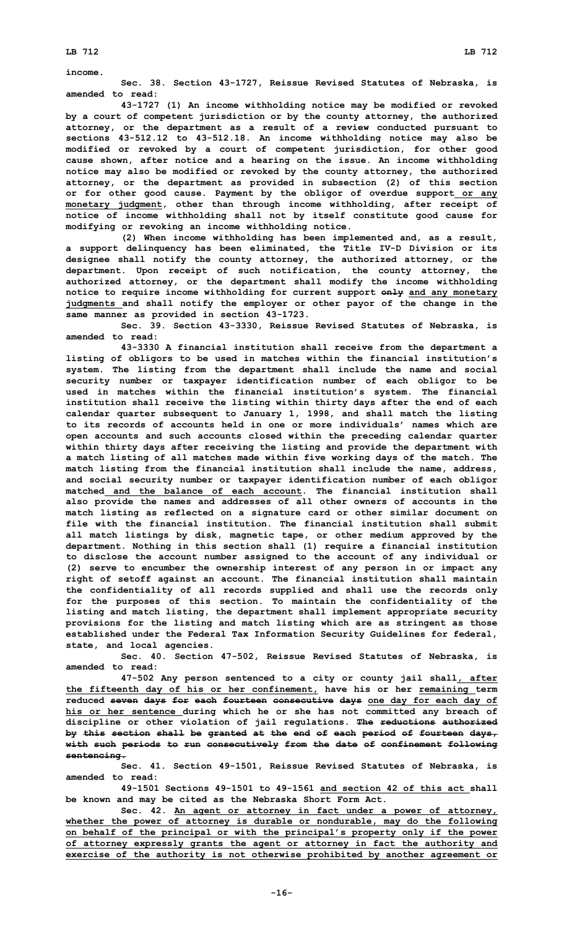**income.**

**Sec. 38. Section 43-1727, Reissue Revised Statutes of Nebraska, is amended to read:**

**43-1727 (1) An income withholding notice may be modified or revoked by <sup>a</sup> court of competent jurisdiction or by the county attorney, the authorized attorney, or the department as <sup>a</sup> result of <sup>a</sup> review conducted pursuant to sections 43-512.12 to 43-512.18. An income withholding notice may also be modified or revoked by <sup>a</sup> court of competent jurisdiction, for other good cause shown, after notice and <sup>a</sup> hearing on the issue. An income withholding notice may also be modified or revoked by the county attorney, the authorized attorney, or the department as provided in subsection (2) of this section or for other good cause. Payment by the obligor of overdue support or any monetary judgment, other than through income withholding, after receipt of notice of income withholding shall not by itself constitute good cause for modifying or revoking an income withholding notice.**

**(2) When income withholding has been implemented and, as <sup>a</sup> result, <sup>a</sup> support delinquency has been eliminated, the Title IV-D Division or its designee shall notify the county attorney, the authorized attorney, or the department. Upon receipt of such notification, the county attorney, the authorized attorney, or the department shall modify the income withholding notice to require income withholding for current support only and any monetary judgments and shall notify the employer or other payor of the change in the same manner as provided in section 43-1723.**

**Sec. 39. Section 43-3330, Reissue Revised Statutes of Nebraska, is amended to read:**

**43-3330 <sup>A</sup> financial institution shall receive from the department <sup>a</sup> listing of obligors to be used in matches within the financial institution's system. The listing from the department shall include the name and social security number or taxpayer identification number of each obligor to be used in matches within the financial institution's system. The financial institution shall receive the listing within thirty days after the end of each calendar quarter subsequent to January 1, 1998, and shall match the listing to its records of accounts held in one or more individuals' names which are open accounts and such accounts closed within the preceding calendar quarter within thirty days after receiving the listing and provide the department with <sup>a</sup> match listing of all matches made within five working days of the match. The match listing from the financial institution shall include the name, address, and social security number or taxpayer identification number of each obligor matched and the balance of each account. The financial institution shall also provide the names and addresses of all other owners of accounts in the match listing as reflected on <sup>a</sup> signature card or other similar document on file with the financial institution. The financial institution shall submit all match listings by disk, magnetic tape, or other medium approved by the department. Nothing in this section shall (1) require <sup>a</sup> financial institution to disclose the account number assigned to the account of any individual or (2) serve to encumber the ownership interest of any person in or impact any right of setoff against an account. The financial institution shall maintain the confidentiality of all records supplied and shall use the records only for the purposes of this section. To maintain the confidentiality of the listing and match listing, the department shall implement appropriate security provisions for the listing and match listing which are as stringent as those established under the Federal Tax Information Security Guidelines for federal, state, and local agencies.**

**Sec. 40. Section 47-502, Reissue Revised Statutes of Nebraska, is amended to read:**

**47-502 Any person sentenced to <sup>a</sup> city or county jail shall, after the fifteenth day of his or her confinement, have his or her remaining term reduced seven days for each fourteen consecutive days one day for each day of his or her sentence during which he or she has not committed any breach of discipline or other violation of jail regulations. The reductions authorized by this section shall be granted at the end of each period of fourteen days, with such periods to run consecutively from the date of confinement following sentencing.**

**Sec. 41. Section 49-1501, Reissue Revised Statutes of Nebraska, is amended to read:**

**49-1501 Sections 49-1501 to 49-1561 and section 42 of this act shall be known and may be cited as the Nebraska Short Form Act.**

**Sec. 42. An agent or attorney in fact under <sup>a</sup> power of attorney, whether the power of attorney is durable or nondurable, may do the following on behalf of the principal or with the principal's property only if the power of attorney expressly grants the agent or attorney in fact the authority and exercise of the authority is not otherwise prohibited by another agreement or**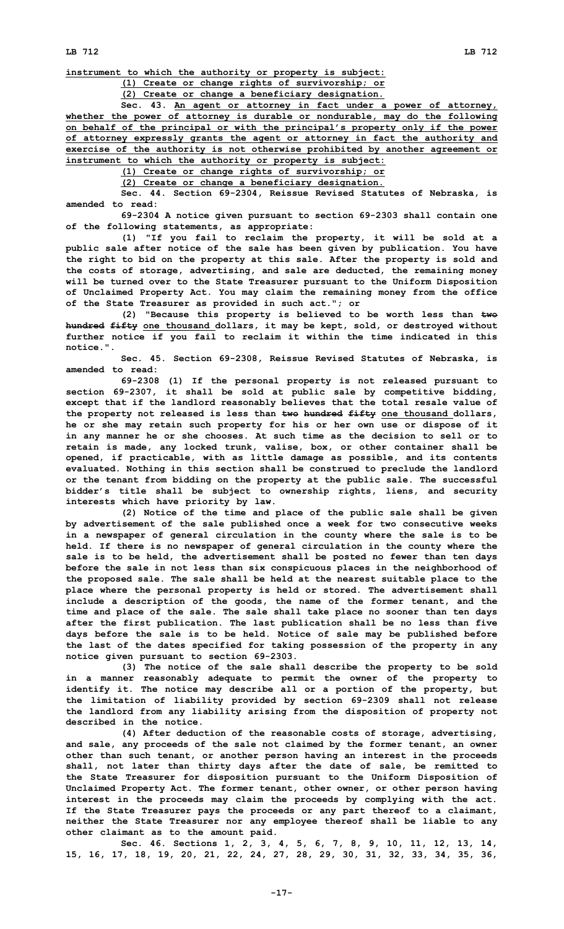**instrument to which the authority or property is subject:**

**(1) Create or change rights of survivorship; or**

**(2) Create or change <sup>a</sup> beneficiary designation.**

**Sec. 43. An agent or attorney in fact under <sup>a</sup> power of attorney, whether the power of attorney is durable or nondurable, may do the following on behalf of the principal or with the principal's property only if the power of attorney expressly grants the agent or attorney in fact the authority and exercise of the authority is not otherwise prohibited by another agreement or instrument to which the authority or property is subject:**

**(1) Create or change rights of survivorship; or**

**(2) Create or change <sup>a</sup> beneficiary designation.**

**Sec. 44. Section 69-2304, Reissue Revised Statutes of Nebraska, is amended to read:**

**69-2304 <sup>A</sup> notice given pursuant to section 69-2303 shall contain one of the following statements, as appropriate:**

**(1) "If you fail to reclaim the property, it will be sold at <sup>a</sup> public sale after notice of the sale has been given by publication. You have the right to bid on the property at this sale. After the property is sold and the costs of storage, advertising, and sale are deducted, the remaining money will be turned over to the State Treasurer pursuant to the Uniform Disposition of Unclaimed Property Act. You may claim the remaining money from the office of the State Treasurer as provided in such act."; or**

**(2) "Because this property is believed to be worth less than two hundred fifty one thousand dollars, it may be kept, sold, or destroyed without further notice if you fail to reclaim it within the time indicated in this notice.".**

**Sec. 45. Section 69-2308, Reissue Revised Statutes of Nebraska, is amended to read:**

**69-2308 (1) If the personal property is not released pursuant to section 69-2307, it shall be sold at public sale by competitive bidding, except that if the landlord reasonably believes that the total resale value of the property not released is less than two hundred fifty one thousand dollars, he or she may retain such property for his or her own use or dispose of it in any manner he or she chooses. At such time as the decision to sell or to retain is made, any locked trunk, valise, box, or other container shall be opened, if practicable, with as little damage as possible, and its contents evaluated. Nothing in this section shall be construed to preclude the landlord or the tenant from bidding on the property at the public sale. The successful bidder's title shall be subject to ownership rights, liens, and security interests which have priority by law.**

**(2) Notice of the time and place of the public sale shall be given by advertisement of the sale published once <sup>a</sup> week for two consecutive weeks in <sup>a</sup> newspaper of general circulation in the county where the sale is to be held. If there is no newspaper of general circulation in the county where the sale is to be held, the advertisement shall be posted no fewer than ten days before the sale in not less than six conspicuous places in the neighborhood of the proposed sale. The sale shall be held at the nearest suitable place to the place where the personal property is held or stored. The advertisement shall include <sup>a</sup> description of the goods, the name of the former tenant, and the time and place of the sale. The sale shall take place no sooner than ten days after the first publication. The last publication shall be no less than five days before the sale is to be held. Notice of sale may be published before the last of the dates specified for taking possession of the property in any notice given pursuant to section 69-2303.**

**(3) The notice of the sale shall describe the property to be sold in <sup>a</sup> manner reasonably adequate to permit the owner of the property to identify it. The notice may describe all or <sup>a</sup> portion of the property, but the limitation of liability provided by section 69-2309 shall not release the landlord from any liability arising from the disposition of property not described in the notice.**

**(4) After deduction of the reasonable costs of storage, advertising, and sale, any proceeds of the sale not claimed by the former tenant, an owner other than such tenant, or another person having an interest in the proceeds shall, not later than thirty days after the date of sale, be remitted to the State Treasurer for disposition pursuant to the Uniform Disposition of Unclaimed Property Act. The former tenant, other owner, or other person having interest in the proceeds may claim the proceeds by complying with the act. If the State Treasurer pays the proceeds or any part thereof to <sup>a</sup> claimant, neither the State Treasurer nor any employee thereof shall be liable to any other claimant as to the amount paid.**

**Sec. 46. Sections 1, 2, 3, 4, 5, 6, 7, 8, 9, 10, 11, 12, 13, 14, 15, 16, 17, 18, 19, 20, 21, 22, 24, 27, 28, 29, 30, 31, 32, 33, 34, 35, 36,**